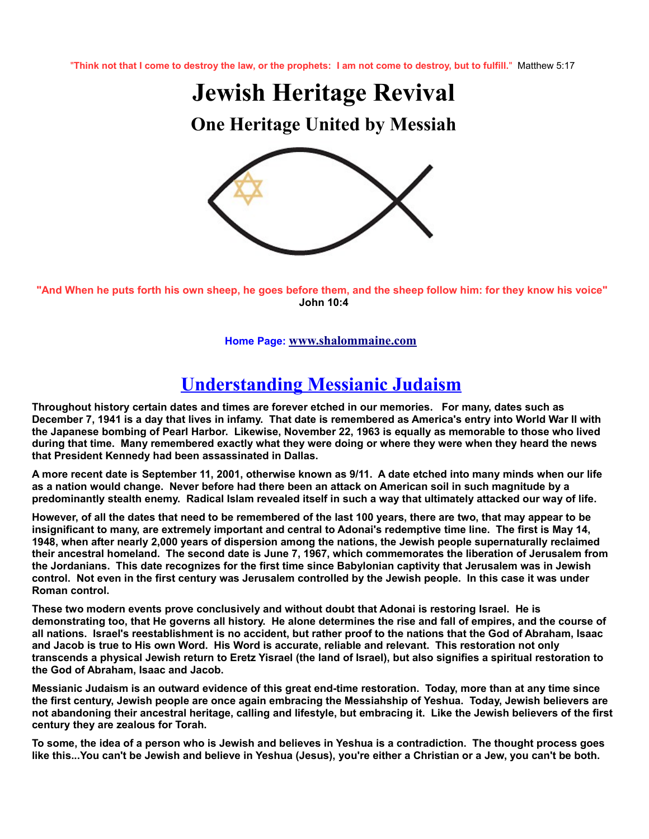"**Think not that I come to destroy the law, or the prophets: I am not come to destroy, but to fulfill.**" Matthew 5:17

**Jewish Heritage Revival**

**One Heritage United by Messiah**



**"And When he puts forth his own sheep, he goes before them, and the sheep follow him: for they know his voice" John 10:4**

**Home Page: [www.shalommaine.com](http://www.shalommaine.com/)**

## **Understanding Messianic Judaism**

**Throughout history certain dates and times are forever etched in our memories. For many, dates such as December 7, 1941 is a day that lives in infamy. That date is remembered as America's entry into World War II with the Japanese bombing of Pearl Harbor. Likewise, November 22, 1963 is equally as memorable to those who lived during that time. Many remembered exactly what they were doing or where they were when they heard the news that President Kennedy had been assassinated in Dallas.** 

**A more recent date is September 11, 2001, otherwise known as 9/11. A date etched into many minds when our life as a nation would change. Never before had there been an attack on American soil in such magnitude by a predominantly stealth enemy. Radical Islam revealed itself in such a way that ultimately attacked our way of life.** 

**However, of all the dates that need to be remembered of the last 100 years, there are two, that may appear to be insignificant to many, are extremely important and central to Adonai's redemptive time line. The first is May 14, 1948, when after nearly 2,000 years of dispersion among the nations, the Jewish people supernaturally reclaimed their ancestral homeland. The second date is June 7, 1967, which commemorates the liberation of Jerusalem from the Jordanians. This date recognizes for the first time since Babylonian captivity that Jerusalem was in Jewish control. Not even in the first century was Jerusalem controlled by the Jewish people. In this case it was under Roman control.**

**These two modern events prove conclusively and without doubt that Adonai is restoring Israel. He is demonstrating too, that He governs all history. He alone determines the rise and fall of empires, and the course of all nations. Israel's reestablishment is no accident, but rather proof to the nations that the God of Abraham, Isaac and Jacob is true to His own Word. His Word is accurate, reliable and relevant. This restoration not only transcends a physical Jewish return to Eretz Yisrael (the land of Israel), but also signifies a spiritual restoration to the God of Abraham, Isaac and Jacob.**

**Messianic Judaism is an outward evidence of this great end-time restoration. Today, more than at any time since the first century, Jewish people are once again embracing the Messiahship of Yeshua. Today, Jewish believers are not abandoning their ancestral heritage, calling and lifestyle, but embracing it. Like the Jewish believers of the first century they are zealous for Torah.**

**To some, the idea of a person who is Jewish and believes in Yeshua is a contradiction. The thought process goes like this...You can't be Jewish and believe in Yeshua (Jesus), you're either a Christian or a Jew, you can't be both.**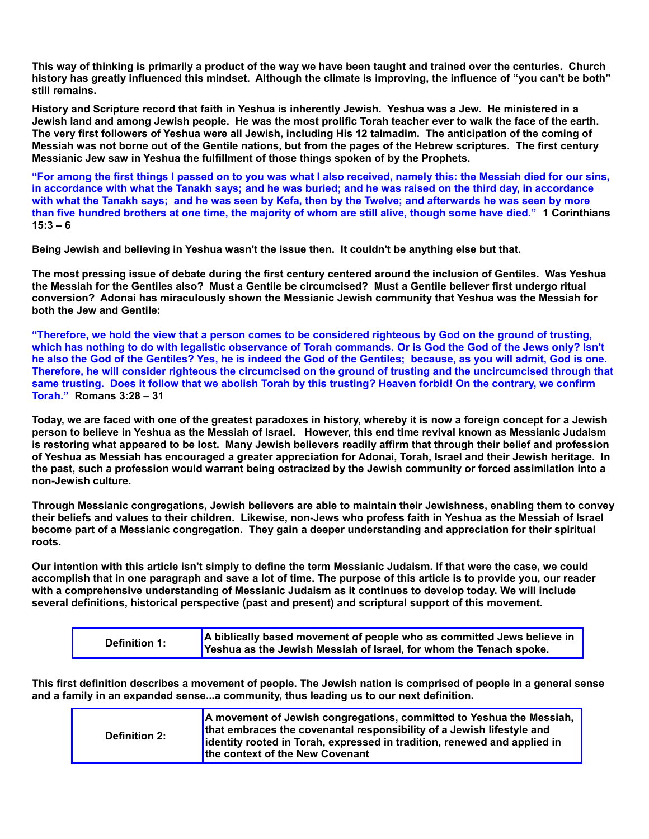**This way of thinking is primarily a product of the way we have been taught and trained over the centuries. Church history has greatly influenced this mindset. Although the climate is improving, the influence of "you can't be both" still remains.**

**History and Scripture record that faith in Yeshua is inherently Jewish. Yeshua was a Jew. He ministered in a Jewish land and among Jewish people. He was the most prolific Torah teacher ever to walk the face of the earth. The very first followers of Yeshua were all Jewish, including His 12 talmadim. The anticipation of the coming of Messiah was not borne out of the Gentile nations, but from the pages of the Hebrew scriptures. The first century Messianic Jew saw in Yeshua the fulfillment of those things spoken of by the Prophets.** 

**"For among the first things I passed on to you was what I also received, namely this: the Messiah died for our sins, in accordance with what the Tanakh says; and he was buried; and he was raised on the third day, in accordance with what the Tanakh says; and he was seen by Kefa, then by the Twelve; and afterwards he was seen by more than five hundred brothers at one time, the majority of whom are still alive, though some have died." 1 Corinthians 15:3 – 6**

**Being Jewish and believing in Yeshua wasn't the issue then. It couldn't be anything else but that.**

**The most pressing issue of debate during the first century centered around the inclusion of Gentiles. Was Yeshua the Messiah for the Gentiles also? Must a Gentile be circumcised? Must a Gentile believer first undergo ritual conversion? Adonai has miraculously shown the Messianic Jewish community that Yeshua was the Messiah for both the Jew and Gentile:**

**"Therefore, we hold the view that a person comes to be considered righteous by God on the ground of trusting, which has nothing to do with legalistic observance of Torah commands. Or is God the God of the Jews only? Isn't he also the God of the Gentiles? Yes, he is indeed the God of the Gentiles; because, as you will admit, God is one. Therefore, he will consider righteous the circumcised on the ground of trusting and the uncircumcised through that same trusting. Does it follow that we abolish Torah by this trusting? Heaven forbid! On the contrary, we confirm Torah." Romans 3:28 – 31**

**Today, we are faced with one of the greatest paradoxes in history, whereby it is now a foreign concept for a Jewish person to believe in Yeshua as the Messiah of Israel. However, this end time revival known as Messianic Judaism is restoring what appeared to be lost. Many Jewish believers readily affirm that through their belief and profession of Yeshua as Messiah has encouraged a greater appreciation for Adonai, Torah, Israel and their Jewish heritage. In the past, such a profession would warrant being ostracized by the Jewish community or forced assimilation into a non-Jewish culture.** 

**Through Messianic congregations, Jewish believers are able to maintain their Jewishness, enabling them to convey their beliefs and values to their children. Likewise, non-Jews who profess faith in Yeshua as the Messiah of Israel become part of a Messianic congregation. They gain a deeper understanding and appreciation for their spiritual roots.**

**Our intention with this article isn't simply to define the term Messianic Judaism. If that were the case, we could accomplish that in one paragraph and save a lot of time. The purpose of this article is to provide you, our reader with a comprehensive understanding of Messianic Judaism as it continues to develop today. We will include several definitions, historical perspective (past and present) and scriptural support of this movement.**

| <b>Definition 1:</b> | A biblically based movement of people who as committed Jews believe in |
|----------------------|------------------------------------------------------------------------|
|                      | Yeshua as the Jewish Messiah of Israel, for whom the Tenach spoke.     |

**This first definition describes a movement of people. The Jewish nation is comprised of people in a general sense and a family in an expanded sense...a community, thus leading us to our next definition.**

| <b>Definition 2:</b> | A movement of Jewish congregations, committed to Yeshua the Messiah,<br>that embraces the covenantal responsibility of a Jewish lifestyle and<br>identity rooted in Torah, expressed in tradition, renewed and applied in<br>the context of the New Covenant |
|----------------------|--------------------------------------------------------------------------------------------------------------------------------------------------------------------------------------------------------------------------------------------------------------|
|----------------------|--------------------------------------------------------------------------------------------------------------------------------------------------------------------------------------------------------------------------------------------------------------|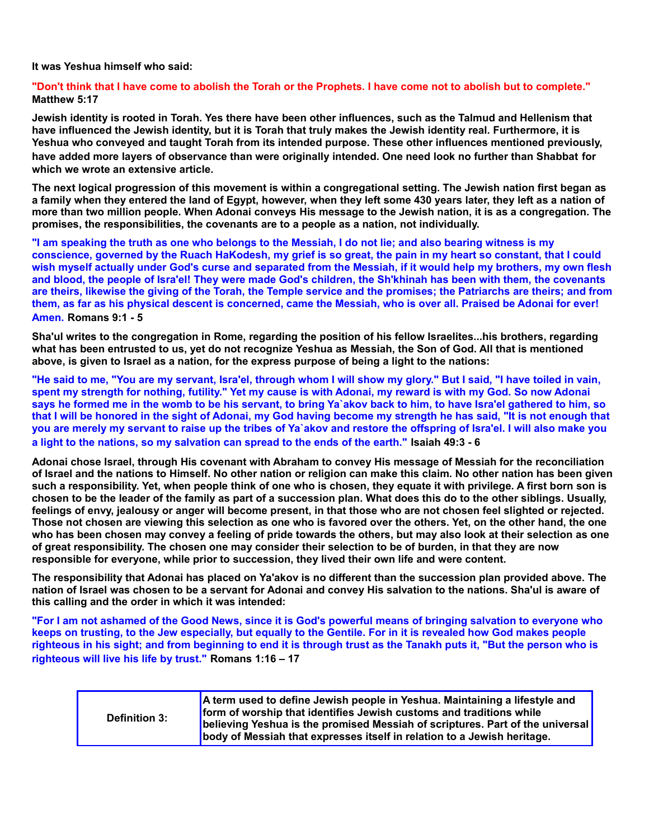**It was Yeshua himself who said:**

**"Don't think that I have come to abolish the Torah or the Prophets. I have come not to abolish but to complete." Matthew 5:17**

**Jewish identity is rooted in Torah. Yes there have been other influences, such as the Talmud and Hellenism that have influenced the Jewish identity, but it is Torah that truly makes the Jewish identity real. Furthermore, it is Yeshua who conveyed and taught Torah from its intended purpose. These other influences mentioned previously, have added more layers of observance than were originally intended. One need look no further than Shabbat for which we wrote an extensive article.** 

**The next logical progression of this movement is within a congregational setting. The Jewish nation first began as a family when they entered the land of Egypt, however, when they left some 430 years later, they left as a nation of more than two million people. When Adonai conveys His message to the Jewish nation, it is as a congregation. The promises, the responsibilities, the covenants are to a people as a nation, not individually.**

**"I am speaking the truth as one who belongs to the Messiah, I do not lie; and also bearing witness is my conscience, governed by the Ruach HaKodesh, my grief is so great, the pain in my heart so constant, that I could wish myself actually under God's curse and separated from the Messiah, if it would help my brothers, my own flesh and blood, the people of Isra'el! They were made God's children, the Sh'khinah has been with them, the covenants are theirs, likewise the giving of the Torah, the Temple service and the promises; the Patriarchs are theirs; and from them, as far as his physical descent is concerned, came the Messiah, who is over all. Praised be Adonai for ever! Amen. Romans 9:1 - 5**

**Sha'ul writes to the congregation in Rome, regarding the position of his fellow Israelites...his brothers, regarding what has been entrusted to us, yet do not recognize Yeshua as Messiah, the Son of God. All that is mentioned above, is given to Israel as a nation, for the express purpose of being a light to the nations:**

**"He said to me, "You are my servant, Isra'el, through whom I will show my glory." But I said, "I have toiled in vain, spent my strength for nothing, futility." Yet my cause is with Adonai, my reward is with my God. So now Adonai says he formed me in the womb to be his servant, to bring Ya`akov back to him, to have Isra'el gathered to him, so that I will be honored in the sight of Adonai, my God having become my strength he has said, "It is not enough that you are merely my servant to raise up the tribes of Ya`akov and restore the offspring of Isra'el. I will also make you a light to the nations, so my salvation can spread to the ends of the earth." Isaiah 49:3 - 6**

**Adonai chose Israel, through His covenant with Abraham to convey His message of Messiah for the reconciliation of Israel and the nations to Himself. No other nation or religion can make this claim. No other nation has been given such a responsibility. Yet, when people think of one who is chosen, they equate it with privilege. A first born son is chosen to be the leader of the family as part of a succession plan. What does this do to the other siblings. Usually, feelings of envy, jealousy or anger will become present, in that those who are not chosen feel slighted or rejected. Those not chosen are viewing this selection as one who is favored over the others. Yet, on the other hand, the one who has been chosen may convey a feeling of pride towards the others, but may also look at their selection as one of great responsibility. The chosen one may consider their selection to be of burden, in that they are now responsible for everyone, while prior to succession, they lived their own life and were content.**

**The responsibility that Adonai has placed on Ya'akov is no different than the succession plan provided above. The nation of Israel was chosen to be a servant for Adonai and convey His salvation to the nations. Sha'ul is aware of this calling and the order in which it was intended:**

**"For I am not ashamed of the Good News, since it is God's powerful means of bringing salvation to everyone who keeps on trusting, to the Jew especially, but equally to the Gentile. For in it is revealed how God makes people righteous in his sight; and from beginning to end it is through trust as the Tanakh puts it, "But the person who is righteous will live his life by trust." Romans 1:16 – 17**

| <b>Definition 3:</b> | A term used to define Jewish people in Yeshua. Maintaining a lifestyle and<br>form of worship that identifies Jewish customs and traditions while<br>believing Yeshua is the promised Messiah of scriptures. Part of the universal<br>body of Messiah that expresses itself in relation to a Jewish heritage. |
|----------------------|---------------------------------------------------------------------------------------------------------------------------------------------------------------------------------------------------------------------------------------------------------------------------------------------------------------|
|----------------------|---------------------------------------------------------------------------------------------------------------------------------------------------------------------------------------------------------------------------------------------------------------------------------------------------------------|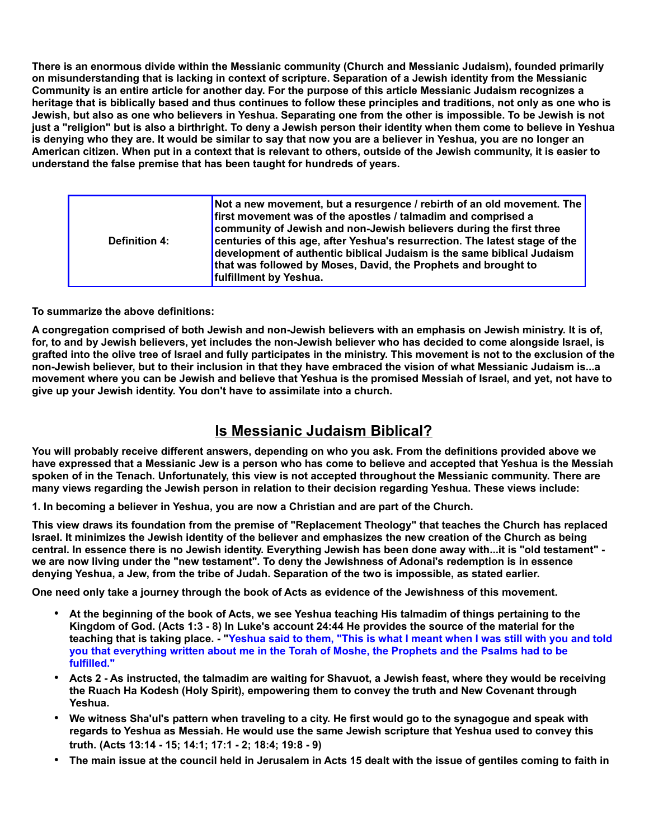**There is an enormous divide within the Messianic community (Church and Messianic Judaism), founded primarily on misunderstanding that is lacking in context of scripture. Separation of a Jewish identity from the Messianic Community is an entire article for another day. For the purpose of this article Messianic Judaism recognizes a heritage that is biblically based and thus continues to follow these principles and traditions, not only as one who is Jewish, but also as one who believers in Yeshua. Separating one from the other is impossible. To be Jewish is not just a "religion" but is also a birthright. To deny a Jewish person their identity when them come to believe in Yeshua is denying who they are. It would be similar to say that now you are a believer in Yeshua, you are no longer an American citizen. When put in a context that is relevant to others, outside of the Jewish community, it is easier to understand the false premise that has been taught for hundreds of years.**

| <b>Definition 4:</b> | Not a new movement, but a resurgence / rebirth of an old movement. The<br>first movement was of the apostles / talmadim and comprised a<br>community of Jewish and non-Jewish believers during the first three<br>centuries of this age, after Yeshua's resurrection. The latest stage of the<br>development of authentic biblical Judaism is the same biblical Judaism<br>that was followed by Moses, David, the Prophets and brought to<br>fulfillment by Yeshua. |
|----------------------|---------------------------------------------------------------------------------------------------------------------------------------------------------------------------------------------------------------------------------------------------------------------------------------------------------------------------------------------------------------------------------------------------------------------------------------------------------------------|
|----------------------|---------------------------------------------------------------------------------------------------------------------------------------------------------------------------------------------------------------------------------------------------------------------------------------------------------------------------------------------------------------------------------------------------------------------------------------------------------------------|

**To summarize the above definitions:**

**A congregation comprised of both Jewish and non-Jewish believers with an emphasis on Jewish ministry. It is of, for, to and by Jewish believers, yet includes the non-Jewish believer who has decided to come alongside Israel, is grafted into the olive tree of Israel and fully participates in the ministry. This movement is not to the exclusion of the non-Jewish believer, but to their inclusion in that they have embraced the vision of what Messianic Judaism is...a movement where you can be Jewish and believe that Yeshua is the promised Messiah of Israel, and yet, not have to give up your Jewish identity. You don't have to assimilate into a church.**

## **Is Messianic Judaism Biblical?**

**You will probably receive different answers, depending on who you ask. From the definitions provided above we have expressed that a Messianic Jew is a person who has come to believe and accepted that Yeshua is the Messiah spoken of in the Tenach. Unfortunately, this view is not accepted throughout the Messianic community. There are many views regarding the Jewish person in relation to their decision regarding Yeshua. These views include:**

**1. In becoming a believer in Yeshua, you are now a Christian and are part of the Church.**

**This view draws its foundation from the premise of "Replacement Theology" that teaches the Church has replaced Israel. It minimizes the Jewish identity of the believer and emphasizes the new creation of the Church as being central. In essence there is no Jewish identity. Everything Jewish has been done away with...it is "old testament" we are now living under the "new testament". To deny the Jewishness of Adonai's redemption is in essence denying Yeshua, a Jew, from the tribe of Judah. Separation of the two is impossible, as stated earlier.**

**One need only take a journey through the book of Acts as evidence of the Jewishness of this movement.** 

- **At the beginning of the book of Acts, we see Yeshua teaching His talmadim of things pertaining to the Kingdom of God. (Acts 1:3 - 8) In Luke's account 24:44 He provides the source of the material for the teaching that is taking place. - "Yeshua said to them, "This is what I meant when I was still with you and told you that everything written about me in the Torah of Moshe, the Prophets and the Psalms had to be fulfilled."**
- **Acts 2 As instructed, the talmadim are waiting for Shavuot, a Jewish feast, where they would be receiving the Ruach Ha Kodesh (Holy Spirit), empowering them to convey the truth and New Covenant through Yeshua.**
- **We witness Sha'ul's pattern when traveling to a city. He first would go to the synagogue and speak with regards to Yeshua as Messiah. He would use the same Jewish scripture that Yeshua used to convey this truth. (Acts 13:14 - 15; 14:1; 17:1 - 2; 18:4; 19:8 - 9)**
- **The main issue at the council held in Jerusalem in Acts 15 dealt with the issue of gentiles coming to faith in**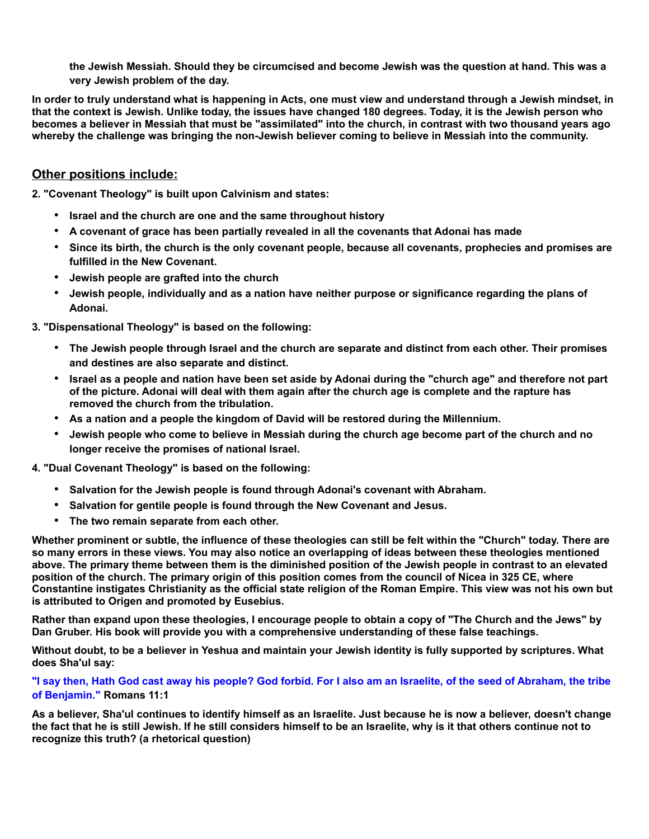**the Jewish Messiah. Should they be circumcised and become Jewish was the question at hand. This was a very Jewish problem of the day.**

**In order to truly understand what is happening in Acts, one must view and understand through a Jewish mindset, in that the context is Jewish. Unlike today, the issues have changed 180 degrees. Today, it is the Jewish person who becomes a believer in Messiah that must be "assimilated" into the church, in contrast with two thousand years ago whereby the challenge was bringing the non-Jewish believer coming to believe in Messiah into the community.**

## **Other positions include:**

**2. "Covenant Theology" is built upon Calvinism and states:**

- **Israel and the church are one and the same throughout history**
- **A covenant of grace has been partially revealed in all the covenants that Adonai has made**
- **Since its birth, the church is the only covenant people, because all covenants, prophecies and promises are fulfilled in the New Covenant.**
- **Jewish people are grafted into the church**
- **Jewish people, individually and as a nation have neither purpose or significance regarding the plans of Adonai.**

**3. "Dispensational Theology" is based on the following:**

- **The Jewish people through Israel and the church are separate and distinct from each other. Their promises and destines are also separate and distinct.**
- **Israel as a people and nation have been set aside by Adonai during the "church age" and therefore not part of the picture. Adonai will deal with them again after the church age is complete and the rapture has removed the church from the tribulation.**
- **As a nation and a people the kingdom of David will be restored during the Millennium.**
- **Jewish people who come to believe in Messiah during the church age become part of the church and no longer receive the promises of national Israel.**

**4. "Dual Covenant Theology" is based on the following:**

- **Salvation for the Jewish people is found through Adonai's covenant with Abraham.**
- **Salvation for gentile people is found through the New Covenant and Jesus.**
- **The two remain separate from each other.**

**Whether prominent or subtle, the influence of these theologies can still be felt within the "Church" today. There are so many errors in these views. You may also notice an overlapping of ideas between these theologies mentioned above. The primary theme between them is the diminished position of the Jewish people in contrast to an elevated position of the church. The primary origin of this position comes from the council of Nicea in 325 CE, where Constantine instigates Christianity as the official state religion of the Roman Empire. This view was not his own but is attributed to Origen and promoted by Eusebius.** 

**Rather than expand upon these theologies, I encourage people to obtain a copy of "The Church and the Jews" by Dan Gruber. His book will provide you with a comprehensive understanding of these false teachings.**

**Without doubt, to be a believer in Yeshua and maintain your Jewish identity is fully supported by scriptures. What does Sha'ul say:**

**"I say then, Hath God cast away his people? God forbid. For I also am an Israelite, of the seed of Abraham, the tribe of Benjamin." Romans 11:1** 

**As a believer, Sha'ul continues to identify himself as an Israelite. Just because he is now a believer, doesn't change the fact that he is still Jewish. If he still considers himself to be an Israelite, why is it that others continue not to recognize this truth? (a rhetorical question)**